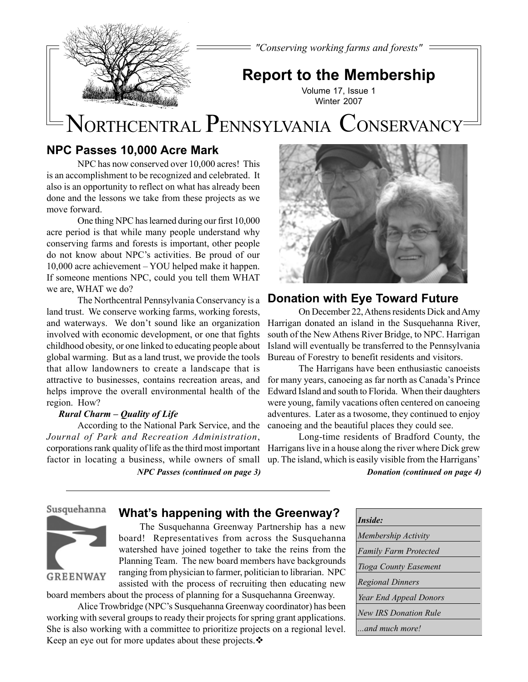*"Conserving working farms and forests"*



**Report to the Membership**

Volume 17, Issue 1 Winter 2007

# NORTHCENTRAL PENNSYLVANIA CONSERVANCY

# **NPC Passes 10,000 Acre Mark**

NPC has now conserved over 10,000 acres! This is an accomplishment to be recognized and celebrated. It also is an opportunity to reflect on what has already been done and the lessons we take from these projects as we move forward.

One thing NPC has learned during our first 10,000 acre period is that while many people understand why conserving farms and forests is important, other people do not know about NPC's activities. Be proud of our 10,000 acre achievement – YOU helped make it happen. If someone mentions NPC, could you tell them WHAT we are, WHAT we do?

The Northcentral Pennsylvania Conservancy is a land trust. We conserve working farms, working forests, and waterways. We don't sound like an organization involved with economic development, or one that fights childhood obesity, or one linked to educating people about global warming. But as a land trust, we provide the tools that allow landowners to create a landscape that is attractive to businesses, contains recreation areas, and helps improve the overall environmental health of the region. How?

## *Rural Charm – Quality of Life*

According to the National Park Service, and the *Journal of Park and Recreation Administration*, corporations rank quality of life as the third most important Harrigans live in a house along the river where Dick grew factor in locating a business, while owners of small

*NPC Passes (continued on page 3)*



# **Donation with Eye Toward Future**

On December 22, Athens residents Dick and Amy Harrigan donated an island in the Susquehanna River, south of the New Athens River Bridge, to NPC. Harrigan Island will eventually be transferred to the Pennsylvania Bureau of Forestry to benefit residents and visitors.

The Harrigans have been enthusiastic canoeists for many years, canoeing as far north as Canada's Prince Edward Island and south to Florida. When their daughters were young, family vacations often centered on canoeing adventures. Later as a twosome, they continued to enjoy canoeing and the beautiful places they could see.

Long-time residents of Bradford County, the up. The island, which is easily visible from the Harrigans'

*Donation (continued on page 4)*

## Susquehanna

# **What's happening with the Greenway?**



The Susquehanna Greenway Partnership has a new board! Representatives from across the Susquehanna watershed have joined together to take the reins from the Planning Team. The new board members have backgrounds ranging from physician to farmer, politician to librarian. NPC assisted with the process of recruiting then educating new

board members about the process of planning for a Susquehanna Greenway.

Alice Trowbridge (NPC's Susquehanna Greenway coordinator) has been working with several groups to ready their projects for spring grant applications. She is also working with a committee to prioritize projects on a regional level. Keep an eye out for more updates about these projects. ❖

| Inside:                      |
|------------------------------|
| Membership Activity          |
| <b>Family Farm Protected</b> |
| Tioga County Easement        |
| <b>Regional Dinners</b>      |
| Year End Appeal Donors       |
| <b>New IRS Donation Rule</b> |
| and much more!               |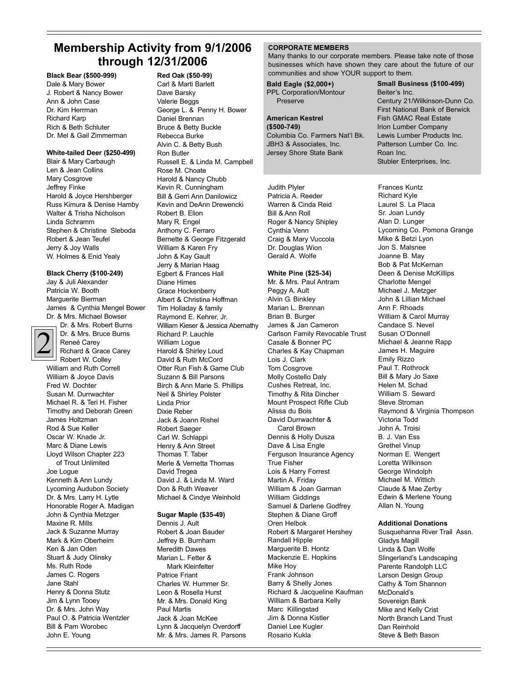# **Membership Activity from 9/1/2006 through 12/31/2006**

**Black Bear (\$500-999)**

Dale & Mary Bower J. Robert & Nancy Bower Ann & John Case Dr. Kim Herrman Richard Karp Rich & Beth Schluter Dr. Mel & Gail Zimmerman

#### **White-tailed Deer (\$250-499)**

Blair & Mary Carbaugh Len & Jean Collins Mary Cosgrove Jeffrey Finke Harold & Joyce Hershberger Russ Kimura & Denise Hamby Walter & Trisha Nicholson Linda Schramm Stephen & Christine Sleboda Robert & Jean Teufel Jerry & Joy Walls W. Holmes & Enid Yealy

#### **Black Cherry (\$100-249)**

Jay & Juli Alexander Patricia W. Booth Marguerite Bierman James & Cynthia Mengel Bower Dr. & Mrs. Michael Bowser



Dr. & Mrs. Robert Burns Dr. & Mrs. Bruce Burns Reneé Carey Richard & Grace Carey Robert W. Colley

William and Ruth Correll William & Joyce Davis Fred W. Dochter Susan M. Durrwachter Michael R. & Teri H. Fisher Timothy and Deborah Green James Holtzman Rod & Sue Keller Oscar W. Knade Jr. Marc & Diane Lewis Lloyd Wilson Chapter 223 of Trout Unlimited Joe Logue Kenneth & Ann Lundy Lycoming Audubon Society Dr. & Mrs. Larry H. Lytle Honorable Roger A. Madigan John & Cynthia Metzger Maxine R. Mills Jack & Suzanne Murray Mark & Kim Oberheim Ken & Jan Oden Stuart & Judy Olinsky Ms. Ruth Rode James C. Rogers Jane Stahl Henry & Donna Stutz Jim & Lynn Tooey Dr. & Mrs. John Way Paul O. & Patricia Wentzler Bill & Pam Worobec John E. Young

# **Red Oak (\$50-99)**

Carl & Marti Barlett Dave Barsky Valerie Beggs George L. & Penny H. Bower Daniel Brennan Bruce & Betty Buckle Rebecca Burke Alvin C. & Betty Bush Ron Butler Russell E. & Linda M. Campbell Rose M. Choate Harold & Nancy Chubb Kevin R. Cunningham Bill & Gerri Ann Danilowicz Kevin and DeAnn Drewencki Robert B. Elion Mary R. Engel Anthony C. Ferraro Bernette & George Fitzgerald William & Karen Fry John & Kay Gault Jerry & Marian Haag Egbert & Frances Hall Diane Himes Grace Hockenberry Albert & Christina Hoffman Tim Holladay & family Raymond E. Kehrer, Jr. William Kieser & Jessica Abernathy Richard P. Lauchle William Logue Harold & Shirley Loud David & Ruth McCord Otter Run Fish & Game Club Suzann & Bill Parsons Birch & Ann Marie S. Phillips Neil & Shirley Polster Linda Prior Dixie Reber Jack & Joann Rishel Robert Saeger Carl W. Schlappi Henry & Ann Street Thomas T. Taber Merle & Vernetta Thomas David Tregea David J. & Linda M. Ward Don & Ruth Weaver Michael & Cindye Weinhold

#### **Sugar Maple (\$35-49)**

Dennis J. Ault Robert & Joan Bauder Jeffrey B. Burnham Meredith Dawes Marian L. Fetter & Mark Kleinfelter Patrice Friant Charles W. Hummer Sr. Leon & Rosella Hurst Mr. & Mrs. Donald King Paul Martis Jack & Joan McKee Lynn & Jacquelyn Overdorff Mr. & Mrs. James R. Parsons

#### **CORPORATE MEMBERS**

**Bald Eagle (\$2,000+)**

Many thanks to our corporate members. Please take note of those businesses which have shown they care about the future of our communities and show YOUR support to them.

## PPL Corporation/Montour Preserve **American Kestrel (\$500-749)** Columbia Co. Farmers Nat'l Bk. JBH3 & Associates, Inc. Jersey Shore State Bank

Judith Plyler Patricia A. Reeder Warren & Cinda Reid Bill & Ann Roll Roger & Nancy Shipley Cynthia Venn Craig & Mary Vuccola Dr. Douglas Wion Gerald A. Wolfe

#### **White Pine (\$25-34)**

Mr. & Mrs. Paul Antram Peggy A. Ault Alvin G. Binkley Marian L. Brennan Brian B. Burger James & Jan Cameron Carlson Family Revocable Trust Casale & Bonner PC Charles & Kay Chapman Lois J. Clark Tom Cosgrove Molly Costello Daly Cushes Retreat, Inc. Timothy & Rita Dincher Mount Prospect Rifle Club Alissa du Bois David Durrwachter & Carol Brown Dennis & Holly Dusza Dave & Lisa Engle Ferguson Insurance Agency True Fisher Lois & Harry Forrest Martin A. Friday William & Joan Garman William Giddings Samuel & Darlene Godfrey Stephen & Diane Groff Oren Helbok Robert & Margaret Hershey Randall Hipple Marguerite B. Hontz Mackenzie E. Hopkins Mike Hoy Frank Johnson Barry & Shelly Jones Richard & Jacqueline Kaufman William & Barbara Kelly Marc Killingstad Jim & Donna Kistler Daniel Lee Kugler Rosario Kukla

**Small Business (\$100-499)** Beiter's Inc. Century 21/Wilkinson-Dunn Co. First National Bank of Berwick Fish GMAC Real Estate Irion Lumber Company Lewis Lumber Products Inc. Patterson Lumber Co. Inc. Roan Inc. Stubler Enterprises, Inc.

Frances Kuntz Richard Kyle Laurel S. La Placa Sr. Joan Lundy Alan D. Lunger Lycoming Co. Pomona Grange Mike & Betzi Lyon Jon S. Malsnee Joanne B. May Bob & Pat McKernan Deen & Denise McKillips Charlotte Mengel Michael J. Metzger John & Lillian Michael Ann F. Rhoads William & Carol Murray Candace S. Nevel Susan O'Donnell Michael & Jeanne Rapp James H. Maguire Emily Rizzo Paul T. Rothrock Bill & Mary Jo Saxe Helen M. Schad William S. Seward Steve Stroman Raymond & Virginia Thompson Victoria Todd John A. Troisi B. J. Van Ess Grethel Vinup Norman E. Wengert Loretta Wilkinson George Windolph Michael M. Wittich Claude & Mae Zerby Edwin & Merlene Young Allan N. Young

#### **Additional Donations**

Susquehanna River Trail Assn. Gladys Magill Linda & Dan Wolfe Slingerland's Landscaping Parente Randolph LLC Larson Design Group Cathy & Tom Shannon McDonald's Sovereign Bank Mike and Kelly Crist North Branch Land Trust Dan Reinhold Steve & Beth Bason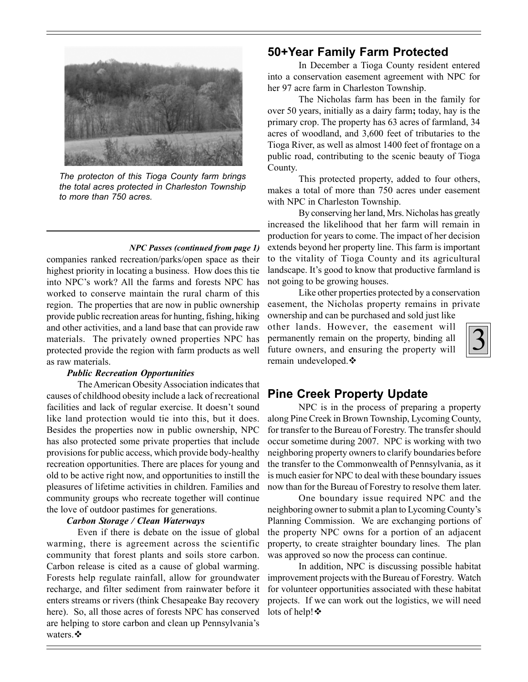

*The protecton of this Tioga County farm brings the total acres protected in Charleston Township to more than 750 acres.*

#### *NPC Passes (continued from page 1)*

companies ranked recreation/parks/open space as their highest priority in locating a business. How does this tie into NPC's work? All the farms and forests NPC has worked to conserve maintain the rural charm of this region. The properties that are now in public ownership provide public recreation areas for hunting, fishing, hiking and other activities, and a land base that can provide raw materials. The privately owned properties NPC has protected provide the region with farm products as well as raw materials.

## *Public Recreation Opportunities*

The American Obesity Association indicates that causes of childhood obesity include a lack of recreational facilities and lack of regular exercise. It doesn't sound like land protection would tie into this, but it does. Besides the properties now in public ownership, NPC has also protected some private properties that include provisions for public access, which provide body-healthy recreation opportunities. There are places for young and old to be active right now, and opportunities to instill the pleasures of lifetime activities in children. Families and community groups who recreate together will continue the love of outdoor pastimes for generations.

#### *Carbon Storage / Clean Waterways*

Even if there is debate on the issue of global warming, there is agreement across the scientific community that forest plants and soils store carbon. Carbon release is cited as a cause of global warming. Forests help regulate rainfall, allow for groundwater recharge, and filter sediment from rainwater before it enters streams or rivers (think Chesapeake Bay recovery here). So, all those acres of forests NPC has conserved are helping to store carbon and clean up Pennsylvania's waters. ❖

# **50+Year Family Farm Protected**

In December a Tioga County resident entered into a conservation easement agreement with NPC for her 97 acre farm in Charleston Township.

The Nicholas farm has been in the family for over 50 years, initially as a dairy farm**;** today, hay is the primary crop. The property has 63 acres of farmland, 34 acres of woodland, and 3,600 feet of tributaries to the Tioga River, as well as almost 1400 feet of frontage on a public road, contributing to the scenic beauty of Tioga County.

This protected property, added to four others, makes a total of more than 750 acres under easement with NPC in Charleston Township.

By conserving her land, Mrs. Nicholas has greatly increased the likelihood that her farm will remain in production for years to come. The impact of her decision extends beyond her property line. This farm is important to the vitality of Tioga County and its agricultural landscape. It's good to know that productive farmland is not going to be growing houses.

Like other properties protected by a conservation easement, the Nicholas property remains in private

ownership and can be purchased and sold just like other lands. However, the easement will permanently remain on the property, binding all future owners, and ensuring the property will remain undeveloped.



# **Pine Creek Property Update**

NPC is in the process of preparing a property along Pine Creek in Brown Township, Lycoming County, for transfer to the Bureau of Forestry. The transfer should occur sometime during 2007. NPC is working with two neighboring property owners to clarify boundaries before the transfer to the Commonwealth of Pennsylvania, as it is much easier for NPC to deal with these boundary issues now than for the Bureau of Forestry to resolve them later.

One boundary issue required NPC and the neighboring owner to submit a plan to Lycoming County's Planning Commission. We are exchanging portions of the property NPC owns for a portion of an adjacent property, to create straighter boundary lines. The plan was approved so now the process can continue.

In addition, NPC is discussing possible habitat improvement projects with the Bureau of Forestry. Watch for volunteer opportunities associated with these habitat projects. If we can work out the logistics, we will need lots of help! ❖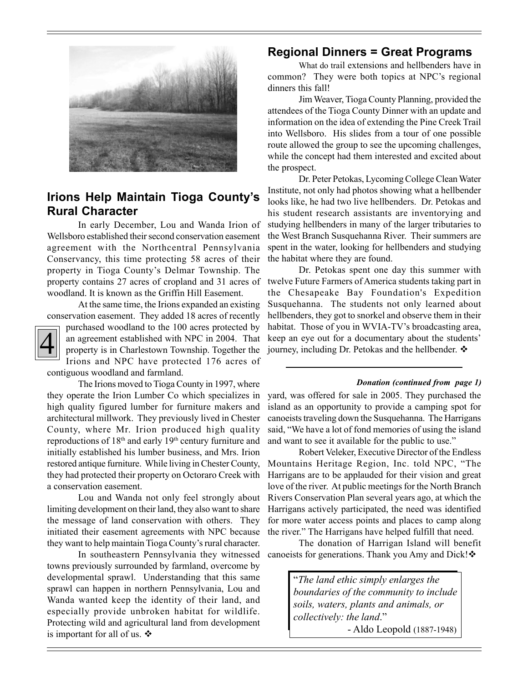

# **Irions Help Maintain Tioga County's Rural Character**

In early December, Lou and Wanda Irion of Wellsboro established their second conservation easement agreement with the Northcentral Pennsylvania Conservancy, this time protecting 58 acres of their property in Tioga County's Delmar Township. The property contains 27 acres of cropland and 31 acres of woodland. It is known as the Griffin Hill Easement.

At the same time, the Irions expanded an existing conservation easement. They added 18 acres of recently



purchased woodland to the 100 acres protected by an agreement established with NPC in 2004. That property is in Charlestown Township. Together the Irions and NPC have protected 176 acres of

contiguous woodland and farmland.

The Irions moved to Tioga County in 1997, where they operate the Irion Lumber Co which specializes in high quality figured lumber for furniture makers and architectural millwork. They previously lived in Chester County, where Mr. Irion produced high quality reproductions of 18th and early 19th century furniture and initially established his lumber business, and Mrs. Irion restored antique furniture. While living in Chester County, they had protected their property on Octoraro Creek with a conservation easement.

Lou and Wanda not only feel strongly about limiting development on their land, they also want to share the message of land conservation with others. They initiated their easement agreements with NPC because they want to help maintain Tioga County's rural character.

In southeastern Pennsylvania they witnessed towns previously surrounded by farmland, overcome by developmental sprawl. Understanding that this same sprawl can happen in northern Pennsylvania, Lou and Wanda wanted keep the identity of their land, and especially provide unbroken habitat for wildlife. Protecting wild and agricultural land from development is important for all of us.  $\ddot{\bullet}$ 

# **Regional Dinners = Great Programs**

What do trail extensions and hellbenders have in common? They were both topics at NPC's regional dinners this fall!

Jim Weaver, Tioga County Planning, provided the attendees of the Tioga County Dinner with an update and information on the idea of extending the Pine Creek Trail into Wellsboro. His slides from a tour of one possible route allowed the group to see the upcoming challenges, while the concept had them interested and excited about the prospect.

Dr. Peter Petokas, Lycoming College Clean Water Institute, not only had photos showing what a hellbender looks like, he had two live hellbenders. Dr. Petokas and his student research assistants are inventorying and studying hellbenders in many of the larger tributaries to the West Branch Susquehanna River. Their summers are spent in the water, looking for hellbenders and studying the habitat where they are found.

Dr. Petokas spent one day this summer with twelve Future Farmers of America students taking part in the Chesapeake Bay Foundation's Expedition Susquehanna. The students not only learned about hellbenders, they got to snorkel and observe them in their habitat. Those of you in WVIA-TV's broadcasting area, keep an eye out for a documentary about the students' journey, including Dr. Petokas and the hellbender.  $\mathbf{\hat{*}}$ 

#### *Donation (continued from page 1)*

yard, was offered for sale in 2005. They purchased the island as an opportunity to provide a camping spot for canoeists traveling down the Susquehanna. The Harrigans said, "We have a lot of fond memories of using the island and want to see it available for the public to use."

Robert Veleker, Executive Director of the Endless Mountains Heritage Region, Inc. told NPC, "The Harrigans are to be applauded for their vision and great love of the river. At public meetings for the North Branch Rivers Conservation Plan several years ago, at which the Harrigans actively participated, the need was identified for more water access points and places to camp along the river." The Harrigans have helped fulfill that need.

The donation of Harrigan Island will benefit canoeists for generations. Thank you Amy and Dick!

> "*The land ethic simply enlarges the boundaries of the community to include soils, waters, plants and animals, or collectively: the land*." - Aldo Leopold (1887-1948)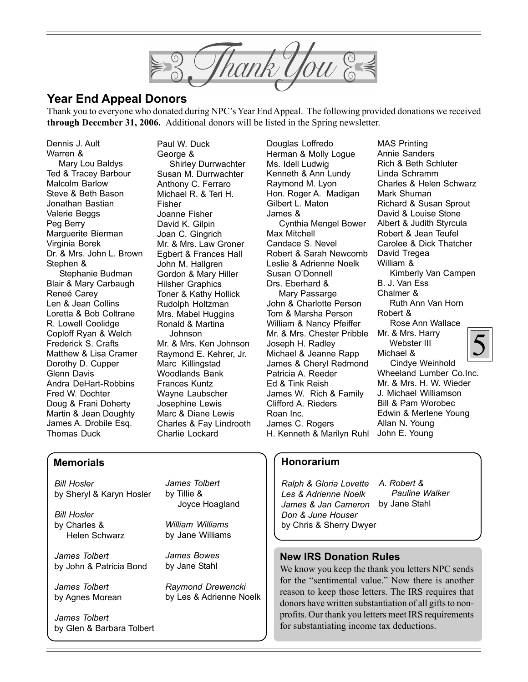hank You

# **Year End Appeal Donors**

Thank you to everyone who donated during NPC's Year End Appeal. The following provided donations we received **through December 31, 2006.** Additional donors will be listed in the Spring newsletter.

Dennis J. Ault Warren & Mary Lou Baldys Ted & Tracey Barbour Malcolm Barlow Steve & Beth Bason Jonathan Bastian Valerie Beggs Peg Berry Marguerite Bierman Virginia Borek Dr. & Mrs. John L. Brown Stephen & Stephanie Budman Blair & Mary Carbaugh Reneé Carey Len & Jean Collins Loretta & Bob Coltrane R. Lowell Coolidge Coploff Ryan & Welch Frederick S. Crafts Matthew & Lisa Cramer Dorothy D. Cupper Glenn Davis Andra DeHart-Robbins Fred W. Dochter Doug & Frani Doherty Martin & Jean Doughty James A. Drobile Esq. Thomas Duck

Paul W. Duck George & Shirley Durrwachter Susan M. Durrwachter Anthony C. Ferraro Michael R. & Teri H. Fisher Joanne Fisher David K. Gilpin Joan C. Gingrich Mr. & Mrs. Law Groner Egbert & Frances Hall John M. Hallgren Gordon & Mary Hiller Hilsher Graphics Toner & Kathy Hollick Rudolph Holtzman Mrs. Mabel Huggins Ronald & Martina Johnson Mr. & Mrs. Ken Johnson Raymond E. Kehrer, Jr. Marc Killingstad Woodlands Bank Frances Kuntz Wayne Laubscher Josephine Lewis Marc & Diane Lewis Charles & Fay Lindrooth Charlie Lockard

Douglas Loffredo Herman & Molly Logue Ms. Idell Ludwig Kenneth & Ann Lundy Raymond M. Lyon Hon. Roger A. Madigan Gilbert L. Maton James & Cynthia Mengel Bower Max Mitchell Candace S. Nevel Robert & Sarah Newcomb Leslie & Adrienne Noelk Susan O'Donnell Drs. Eberhard & Mary Passarge John & Charlotte Person Tom & Marsha Person William & Nancy Pfeiffer Mr. & Mrs. Chester Pribble Joseph H. Radley Michael & Jeanne Rapp James & Cheryl Redmond Patricia A. Reeder Ed & Tink Reish James W. Rich & Family Clifford A. Rieders Roan Inc. James C. Rogers H. Kenneth & Marilyn Ruhl John E. Young

5 MAS Printing Annie Sanders Rich & Beth Schluter Linda Schramm Charles & Helen Schwarz Mark Shuman Richard & Susan Sprout David & Louise Stone Albert & Judith Styrcula Robert & Jean Teufel Carolee & Dick Thatcher David Tregea William & Kimberly Van Campen B. J. Van Ess Chalmer & Ruth Ann Van Horn Robert & Rose Ann Wallace Mr. & Mrs. Harry Webster III Michael & Cindye Weinhold Wheeland Lumber Co.Inc. Mr. & Mrs. H. W. Wieder J. Michael Williamson Bill & Pam Worobec Edwin & Merlene Young

## **Memorials**

*Bill Hosler* by Sheryl & Karyn Hosler

*Bill Hosler* by Charles & Helen Schwarz

*James Tolbert* by John & Patricia Bond

by Glen & Barbara Tolbert

*James Tolbert* by Agnes Morean

*James Tolbert*

*James Tolbert* by Tillie & Joyce Hoagland

*William Williams* by Jane Williams

*James Bowes* by Jane Stahl

*Raymond Drewencki* by Les & Adrienne Noelk

# **Honorarium**

*Ralph & Gloria Lovette Les & Adrienne Noelk James & Jan Cameron* by Jane Stahl*Don & June Houser* by Chris & Sherry Dwyer

*A. Robert & Pauline Walker*

Allan N. Young

## **New IRS Donation Rules**

We know you keep the thank you letters NPC sends for the "sentimental value." Now there is another reason to keep those letters. The IRS requires that donors have written substantiation of all gifts to nonprofits. Our thank you letters meet IRS requirements for substantiating income tax deductions.